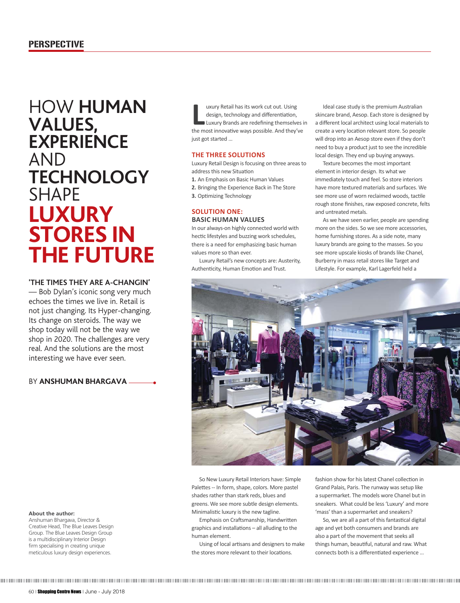# **LUXURY STORES IN THE FUTURE** HOW **HUMAN VALUES, EXPERIENCE**  AND **TECHNOLOGY**  SHAPE

# **'THE TIMES THEY ARE A-CHANGIN'**

— Bob Dylan's iconic song very much echoes the times we live in. Retail is not just changing. Its Hyper-changing. Its change on steroids. The way we shop today will not be the way we shop in 2020. The challenges are very real. And the solutions are the most interesting we have ever seen.

## BY **ANSHUMAN BHARGAVA**

**LEVALUATE:** The most innovative ways possible. And they've the most innovative ways possible. And they've uxury Retail has its work cut out. Using design, technology and differentiation, Luxury Brands are redefining themselves in just got started …

# **THE THREE SOLUTIONS**

Luxury Retail Design is focusing on three areas to address this new Situation

**1.** An Emphasis on Basic Human Values

**2.** Bringing the Experience Back in The Store

**3.** Optimizing Technology

## **SOLUTION ONE: BASIC HUMAN VALUES**

In our always-on highly connected world with hectic lifestyles and buzzing work schedules, there is a need for emphasizing basic human values more so than ever.

Luxury Retail's new concepts are: Austerity, Authenticity, Human Emotion and Trust.

Ideal case study is the premium Australian skincare brand, Aesop. Each store is designed by a different local architect using local materials to create a very location relevant store. So people will drop into an Aesop store even if they don't need to buy a product just to see the incredible local design. They end up buying anyways.

Texture becomes the most important element in interior design. Its what we immediately touch and feel. So store interiors have more textured materials and surfaces. We see more use of worn reclaimed woods, tactile rough stone finishes, raw exposed concrete, felts and untreated metals.

As we have seen earlier, people are spending more on the sides. So we see more accessories, home furnishing stores. As a side note, many luxury brands are going to the masses. So you see more upscale kiosks of brands like Chanel, Burberry in mass retail stores like Target and Lifestyle. For example, Karl Lagerfeld held a



So New Luxury Retail Interiors have: Simple Palettes -- In form, shape, colors. More pastel shades rather than stark reds, blues and greens. We see more subtle design elements. Minimalistic luxury is the new tagline.

Emphasis on Craftsmanship, Handwritten graphics and installations  $-$  all alluding to the human element.

Using of local artisans and designers to make the stores more relevant to their locations.

fashion show for his latest Chanel collection in Grand Palais, Paris. The runway was setup like a supermarket. The models wore Chanel but in sneakers. What could be less 'Luxury' and more 'mass' than a supermarket and sneakers?

So, we are all a part of this fantastical digital age and yet both consumers and brands are also a part of the movement that seeks all things human, beautiful, natural and raw. What connects both is a differentiated experience ...

#### **About the author:**

Anshuman Bhargava, Director & Creative Head, The Blue Leaves Design Group. The Blue Leaves Design Group is a multidisciplinary Interior Design firm specialising in creating unique meticulous luxury design experiences.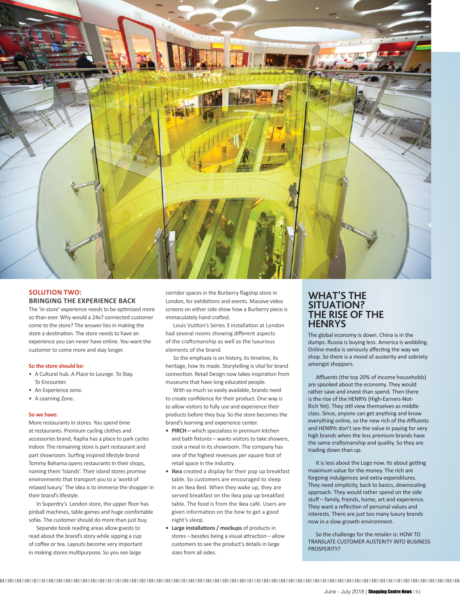

## **SOLUTION TWO: BRINGING THE EXPERIENCE BACK**

The 'in-store' experience needs to be optimized more so than ever. Why would a 24x7 connected customer come to the store? The answer lies in making the store a destination. The store needs to have an experience you can never have online. You want the customer to come more and stay longer.

#### **So the store should be:**

- A Cultural hub. A Place to Lounge. To Stay. To Encounter.
- An Experience zone.
- A Learning Zone.

#### **So we have:**

More restaurants in stores. You spend time at restaurants. Premium cycling clothes and accessories brand, Rapha has a place to park cycles indoor. The remaining store is part restaurant and part showroom. Surfing inspired lifestyle brand Tommy Bahama opens restaurants in their shops, naming them 'Islands'. Their island stores promise environments that transport you to a 'world of relaxed luxury.' The idea is to immerse the shopper in their brand's lifestyle.

In Superdry's London store, the upper floor has pinball machines, table games and huge comfortable sofas. The customer should do more than just buy.

Separate book reading areas allow guests to read about the brand's story while sipping a cup of coffee or tea. Layouts become very important in making stores multipurpose. So you see large

corridor spaces in the Burberry flagship store in London, for exhibitions and events. Massive video screens on either side show how a Burberry piece is immaculately hand crafted.

Louis Vuitton's Series 3 installation at London had several rooms showing different aspects of the craftsmanship as well as the luxurious elements of the brand.

So the emphasis is on history, its timeline, its heritage, how its made. Storytelling is vital for brand connection. Retail Design now takes inspiration from museums that have long educated people.

With so much so easily available, brands need to create confidence for their product. One way is to allow visitors to fully use and experience their products before they buy. So the store becomes the brand's learning and experience center.

- **PIRCH –** which specializes in premium kitchen and bath fixtures – wants visitors to take showers, cook a meal in its showroom. The company has one of the highest revenues per square foot of retail space in the industry.
- **Ikea** created a display for their pop up breakfast table. So customers are encouraged to sleep in an Ikea Bed. When they wake up, they are served breakfast on the Ikea pop up breakfast table. The food is from the Ikea café. Users are given information on the how to get a good night's sleep.
- Large installations / mockups of products in stores – besides being a visual attraction – allow customers to see the product's details in large sizes from all sides.

## **WHAT'S THE SITUATION? THE RISE OF THE HENRYS**

The global economy is down. China is in the dumps. Russia is buying less. America is wobbling. Online media is seriously affecting the way we shop. So there is a mood of austerity and sobriety amongst shoppers.

Affluents (the top 20% of income households) are spooked about the economy. They would rather save and invest than spend. Then there is the rise of the HENRYs (High-Earners-Not-Rich Yet). They still view themselves as middle class. Since, anyone can get anything and know everything online, so the new rich of the Affluents and HENRYs don't see the value in paying for very high brands when the less premium brands have the same craftsmanship and quality. So they are trading down than up.

It is less about the Logo now. Its about getting maximum value for the money. The rich are forgoing indulgences and extra expenditures. They need simplicity, back to basics, downscaling approach. They would rather spend on the side stuff – family, friends, home, art and experience. They want a reflection of personal values and interests. There are just too many luxury brands now in a slow growth environment.

So the challenge for the retailer is: HOW TO TRANSLATE CUSTOMER AUSTERITY INTO BUSINESS PROSPERITY?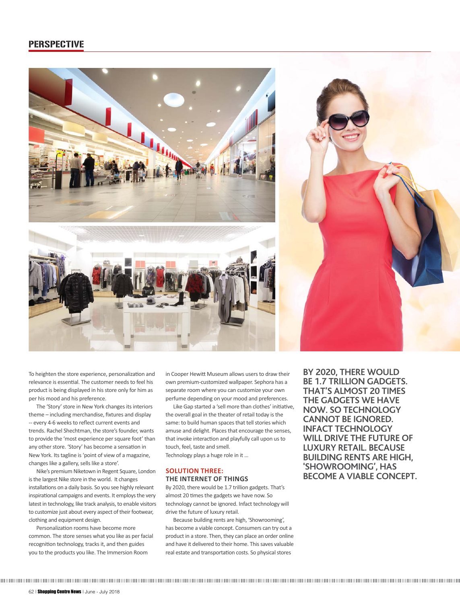## PERSPECTIVE



To heighten the store experience, personalization and relevance is essential. The customer needs to feel his product is being displayed in his store only for him as per his mood and his preference.

The 'Story' store in New York changes its interiors theme – including merchandise, fixtures and display -- every 4-6 weeks to reflect current events and trends. Rachel Shechtman, the store's founder, wants to provide the 'most experience per square foot' than any other store. 'Story' has become a sensation in New York. Its tagline is 'point of view of a magazine, changes like a gallery, sells like a store'.

Nike's premium Niketown in Regent Square, London is the largest Nike store in the world. It changes installations on a daily basis. So you see highly relevant inspirational campaigns and events. It employs the very latest in technology, like track analysis, to enable visitors to customize just about every aspect of their footwear, clothing and equipment design.

Personalization rooms have become more common. The store senses what you like as per facial recognition technology, tracks it, and then guides you to the products you like. The Immersion Room

in Cooper Hewitt Museum allows users to draw their own premium-customized wallpaper. Sephora has a separate room where you can customize your own perfume depending on your mood and preferences.

Like Gap started a 'sell more than clothes' initiative. the overall goal in the theater of retail today is the same: to build human spaces that tell stories which amuse and delight. Places that encourage the senses, that invoke interaction and playfully call upon us to touch, feel, taste and smell.

Technology plays a huge role in it …

### **SOLUTION THREE: THE INTERNET OF THINGS**

By 2020, there would be 1.7 trillion gadgets. That's almost 20 times the gadgets we have now. So technology cannot be ignored. Infact technology will drive the future of luxury retail.

Because building rents are high, 'Showrooming', has become a viable concept. Consumers can try out a product in a store. Then, they can place an order online and have it delivered to their home. This saves valuable real estate and transportation costs. So physical stores

**BY 2020, THERE WOULD BE 1.7 TRILLION GADGETS. THAT'S ALMOST 20 TIMES THE GADGETS WE HAVE NOW. SO TECHNOLOGY CANNOT BE IGNORED. INFACT TECHNOLOGY WILL DRIVE THE FUTURE OF LUXURY RETAIL. BECAUSE BUILDING RENTS ARE HIGH, 'SHOWROOMING', HAS BECOME A VIABLE CONCEPT.**